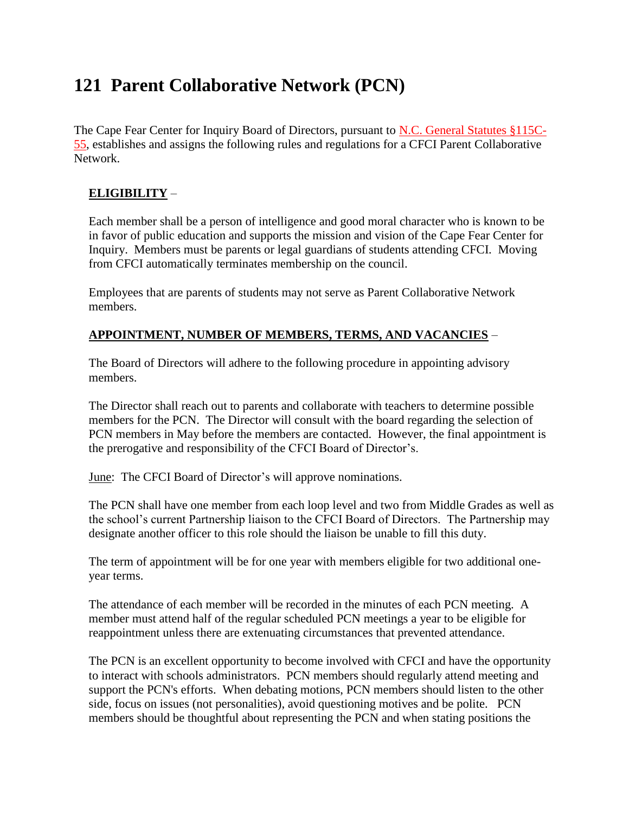# **121 Parent Collaborative Network (PCN)**

The Cape Fear Center for Inquiry Board of Directors, pursuant to [N.C. General Statutes §115C-](http://redirector.microscribepub.com/?cat=stat&loc=nc&id=115c&spec=55)[55,](http://redirector.microscribepub.com/?cat=stat&loc=nc&id=115c&spec=55) establishes and assigns the following rules and regulations for a CFCI Parent Collaborative Network.

# **ELIGIBILITY** –

Each member shall be a person of intelligence and good moral character who is known to be in favor of public education and supports the mission and vision of the Cape Fear Center for Inquiry. Members must be parents or legal guardians of students attending CFCI. Moving from CFCI automatically terminates membership on the council.

Employees that are parents of students may not serve as Parent Collaborative Network members.

## **APPOINTMENT, NUMBER OF MEMBERS, TERMS, AND VACANCIES** –

The Board of Directors will adhere to the following procedure in appointing advisory members.

The Director shall reach out to parents and collaborate with teachers to determine possible members for the PCN. The Director will consult with the board regarding the selection of PCN members in May before the members are contacted. However, the final appointment is the prerogative and responsibility of the CFCI Board of Director's.

June: The CFCI Board of Director's will approve nominations.

The PCN shall have one member from each loop level and two from Middle Grades as well as the school's current Partnership liaison to the CFCI Board of Directors. The Partnership may designate another officer to this role should the liaison be unable to fill this duty.

The term of appointment will be for one year with members eligible for two additional oneyear terms.

The attendance of each member will be recorded in the minutes of each PCN meeting. A member must attend half of the regular scheduled PCN meetings a year to be eligible for reappointment unless there are extenuating circumstances that prevented attendance.

The PCN is an excellent opportunity to become involved with CFCI and have the opportunity to interact with schools administrators. PCN members should regularly attend meeting and support the PCN's efforts. When debating motions, PCN members should listen to the other side, focus on issues (not personalities), avoid questioning motives and be polite. PCN members should be thoughtful about representing the PCN and when stating positions the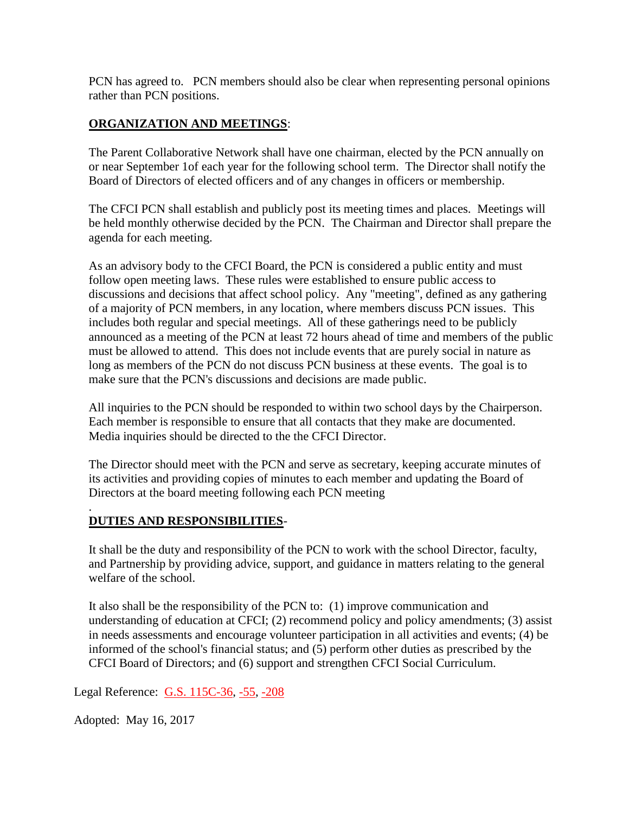PCN has agreed to. PCN members should also be clear when representing personal opinions rather than PCN positions.

# **ORGANIZATION AND MEETINGS**:

The Parent Collaborative Network shall have one chairman, elected by the PCN annually on or near September 1of each year for the following school term. The Director shall notify the Board of Directors of elected officers and of any changes in officers or membership.

The CFCI PCN shall establish and publicly post its meeting times and places. Meetings will be held monthly otherwise decided by the PCN. The Chairman and Director shall prepare the agenda for each meeting.

As an advisory body to the CFCI Board, the PCN is considered a public entity and must follow open meeting laws. These rules were established to ensure public access to discussions and decisions that affect school policy. Any "meeting", defined as any gathering of a majority of PCN members, in any location, where members discuss PCN issues. This includes both regular and special meetings. All of these gatherings need to be publicly announced as a meeting of the PCN at least 72 hours ahead of time and members of the public must be allowed to attend. This does not include events that are purely social in nature as long as members of the PCN do not discuss PCN business at these events. The goal is to make sure that the PCN's discussions and decisions are made public.

All inquiries to the PCN should be responded to within two school days by the Chairperson. Each member is responsible to ensure that all contacts that they make are documented. Media inquiries should be directed to the the CFCI Director.

The Director should meet with the PCN and serve as secretary, keeping accurate minutes of its activities and providing copies of minutes to each member and updating the Board of Directors at the board meeting following each PCN meeting

#### . **DUTIES AND RESPONSIBILITIES**-

It shall be the duty and responsibility of the PCN to work with the school Director, faculty, and Partnership by providing advice, support, and guidance in matters relating to the general welfare of the school.

It also shall be the responsibility of the PCN to: (1) improve communication and understanding of education at CFCI; (2) recommend policy and policy amendments; (3) assist in needs assessments and encourage volunteer participation in all activities and events; (4) be informed of the school's financial status; and (5) perform other duties as prescribed by the CFCI Board of Directors; and (6) support and strengthen CFCI Social Curriculum.

Legal Reference: [G.S. 115C-36,](http://redirector.microscribepub.com/?cat=stat&loc=nc&id=115c&spec=36) [-55,](http://redirector.microscribepub.com/?cat=stat&loc=nc&id=115c&spec=55) [-208](http://redirector.microscribepub.com/?cat=stat&loc=nc&id=115c&spec=208)

Adopted: May 16, 2017